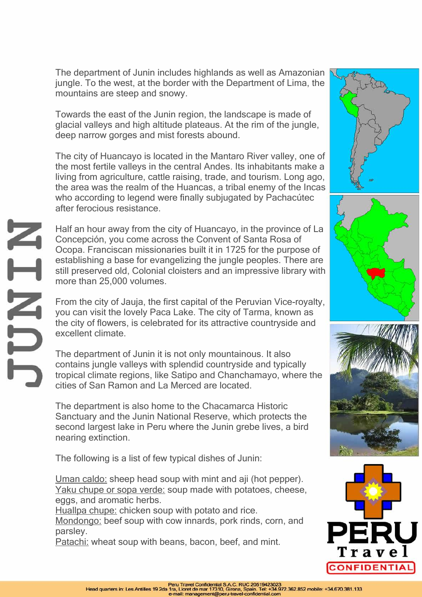The department of Junin includes highlands as well as Amazonian jungle. To the west, at the border with the Department of Lima, the mountains are steep and snowy.

Towards the east of the Junin region, the landscape is made of glacial valleys and high altitude plateaus. At the rim of the jungle, deep narrow gorges and mist forests abound.

The city of Huancayo is located in the Mantaro River valley, one of the most fertile valleys in the central Andes. Its inhabitants make a living from agriculture, cattle raising, trade, and tourism. Long ago, the area was the realm of the Huancas, a tribal enemy of the Incas who according to legend were finally subjugated by Pachacútec after ferocious resistance.

Half an hour away from the city of Huancayo, in the province of La Concepción, you come across the Convent of Santa Rosa of Ocopa. Franciscan missionaries built it in 1725 for the purpose of establishing a base for evangelizing the jungle peoples. There are still preserved old, Colonial cloisters and an impressive library with more than 25,000 volumes.

From the city of Jauja, the first capital of the Peruvian Vice-royalty, you can visit the lovely Paca Lake. The city of Tarma, known as the city of flowers, is celebrated for its attractive countryside and excellent climate.

The department of Junin it is not only mountainous. It also contains jungle valleys with splendid countryside and typically tropical climate regions, like Satipo and Chanchamayo, where the cities of San Ramon and La Merced are located.

The department is also home to the Chacamarca Historic Sanctuary and the Junin National Reserve, which protects the second largest lake in Peru where the Junin grebe lives, a bird nearing extinction.

The following is a list of few typical dishes of Junin:

**ATNEY** 

Uman caldo: sheep head soup with mint and aij (hot pepper). Yaku chupe or sopa verde: soup made with potatoes, cheese, eggs, and aromatic herbs.

Huallpa chupe: chicken soup with potato and rice.

Mondongo: beef soup with cow innards, pork rinds, corn, and parsley.

Patachi: wheat soup with beans, bacon, beef, and mint.